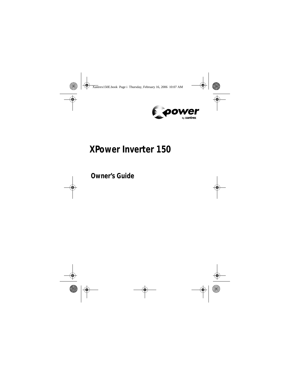

# **XPower Inverter 150**

**Owner's Guide**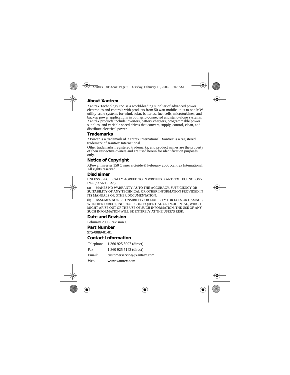#### **About Xantrex**

Xantrex Technology Inc. is a world-leading supplier of advanced power electronics and controls with products from 50 watt mobile units to one MW utility-scale systems for wind, solar, batteries, fuel cells, microturbines, and backup power applications in both grid-connected and stand-alone systems. Xantrex products include inverters, battery chargers, programmable power supplies, and variable speed drives that convert, supply, control, clean, and distribute electrical power.

#### **Trademarks**

XPower is a trademark of Xantrex International. Xantrex is a registered trademark of Xantrex International.

Other trademarks, registered trademarks, and product names are the property of their respective owners and are used herein for identification purposes only.

#### **Notice of Copyright**

XPower Inverter 150 Owner's Guide © February 2006 Xantrex International. All rights reserved.

#### **Disclaimer**

UNLESS SPECIFICALLY AGREED TO IN WRITING, XANTREX TECHNOLOGY INC. ("XANTREX")

(a) MAKES NO WARRANTY AS TO THE ACCURACY, SUFFICIENCY OR SUITABILITY OF ANY TECHNICAL OR OTHER INFORMATION PROVIDED IN ITS MANUALS OR OTHER DOCUMENTATION.

(b) ASSUMES NO RESPONSIBILITY OR LIABILITY FOR LOSS OR DAMAGE, WHETHER DIRECT, INDIRECT, CONSEQUENTIAL OR INCIDENTAL, WHICH MIGHT ARISE OUT OF THE USE OF SUCH INFORMATION. THE USE OF ANY SUCH INFORMATION WILL BE ENTIRELY AT THE USER'S RISK.

#### **Date and Revision**

February 2006 Revision C

#### **Part Number**

975-0089-01-01

#### **Contact Information**

|        | Telephone: 1 360 925 5097 (direct) |
|--------|------------------------------------|
| Fax:   | 1 360 925 5143 (direct)            |
| Email: | customerservice@xantrex.com        |
| Web:   | www.xantrex.com                    |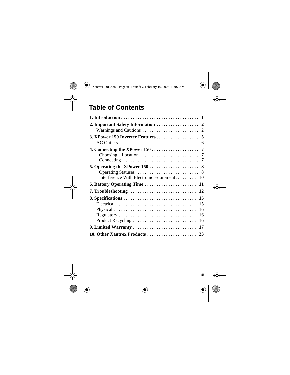### **Table of Contents**

| AC Outlets $\ldots \ldots \ldots \ldots \ldots \ldots \ldots \ldots \ldots \ldots$ |
|------------------------------------------------------------------------------------|
|                                                                                    |
|                                                                                    |
|                                                                                    |
| Interference With Electronic Equipment<br>10                                       |
| 6. Battery Operating Time<br>11                                                    |
| 7. Troubleshooting<br>12                                                           |
| 8. Specifications<br>15                                                            |
| 15                                                                                 |
| 16<br>Physical                                                                     |
| 16                                                                                 |
| 16<br>Product Recycling                                                            |
| 9. Limited Warranty<br>17                                                          |
|                                                                                    |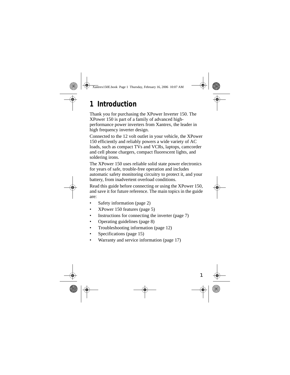# **1 Introduction**

Thank you for purchasing the XPower Inverter 150. The XPower 150 is part of a family of advanced highperformance power inverters from Xantrex, the leader in high frequency inverter design.

Connected to the 12 volt outlet in your vehicle, the XPower 150 efficiently and reliably powers a wide variety of AC loads, such as compact TVs and VCRs, laptops, camcorder and cell phone chargers, compact fluorescent lights, and soldering irons.

The XPower 150 uses reliable solid state power electronics for years of safe, trouble-free operation and includes automatic safety monitoring circuitry to protect it, and your battery, from inadvertent overload conditions.

Read this guide before connecting or using the XPower 150, and save it for future reference. The main topics in the guide are:

- Safety information (page 2)
- XPower 150 features (page 5)
- Instructions for connecting the inverter (page 7)
- Operating guidelines (page 8)
- Troubleshooting information (page 12)
- Specifications (page 15)
- Warranty and service information (page 17)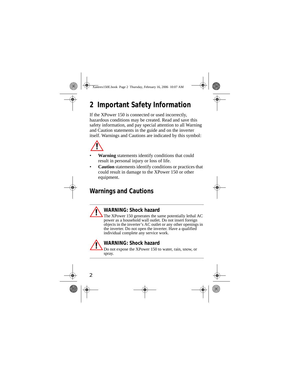# **2 Important Safety Information**

If the XPower 150 is connected or used incorrectly, hazardous conditions may be created. Read and save this safety information, and pay special attention to all Warning and Caution statements in the guide and on the inverter itself. Warnings and Cautions are indicated by this symbol:



- **Warning** statements identify conditions that could result in personal injury or loss of life.
- **Caution** statements identify conditions or practices that could result in damage to the XPower 150 or other equipment.

### **Warnings and Cautions**



The XPower 150 generates the same potentially lethal AC power as a household wall outlet. Do not insert foreign objects in the inverter's AC outlet or any other openings in the inverter. Do not open the inverter. Have a qualified individual complete any service work.

#### **WARNING: Shock hazard**

Do not expose the XPower 150 to water, rain, snow, or spray.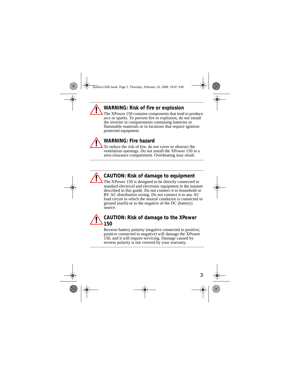#### **WARNING: Risk of fire or explosion**

The XPower 150 contains components that tend to produce arcs or sparks. To prevent fire or explosion, do not install the inverter in compartments containing batteries or flammable materials or in locations that require ignitionprotected equipment.



#### **WARNING: Fire hazard**

To reduce the risk of fire, do not cover or obstruct the ventilation openings. Do not install the XPower 150 in a zero-clearance compartment. Overheating may result.



#### **CAUTION: Risk of damage to equipment**

The XPower 150 is designed to be directly connected to standard electrical and electronic equipment in the manner described in this guide. Do not connect it to household or RV AC distribution wiring. Do not connect it to any AC load circuit in which the neutral conductor is connected to ground (earth) or to the negative of the DC (battery) source.

#### **CAUTION: Risk of damage to the XPower 150**

Reverse battery polarity (negative connected to positive; positive connected to negative) will damage the XPower 150, and it will require servicing. Damage caused by reverse polarity is not covered by your warranty.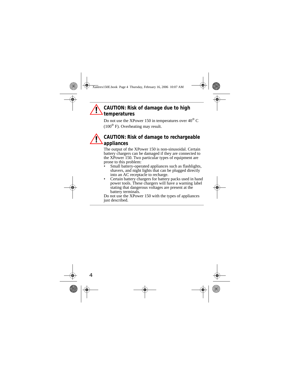#### **CAUTION: Risk of damage due to high temperatures**

Do not use the XPower 150 in temperatures over  $40^{\circ}$  C  $(100^{\circ}$  F). Overheating may result.

#### **CAUTION: Risk of damage to rechargeable appliances**

The output of the XPower 150 is non-sinusoidal. Certain battery chargers can be damaged if they are connected to the XPower 150. Two particular types of equipment are prone to this problem:

- Small battery-operated appliances such as flashlights, shavers, and night lights that can be plugged directly into an AC receptacle to recharge.
- Certain battery chargers for battery packs used in hand power tools. These chargers will have a warning label stating that dangerous voltages are present at the battery terminals.

Do not use the XPower 150 with the types of appliances just described.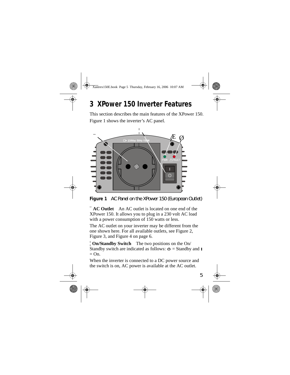## **3 XPower 150 Inverter Features**

This section describes the main features of the XPower 150. Figure 1 shows the inverter's AC panel.



**Figure 1** AC Panel on the XPower 150 (European Outlet)

¨ **AC Outlet** An AC outlet is located on one end of the XPower 150. It allows you to plug in a 230 volt AC load with a power consumption of 150 watts or less.

The AC outlet on your inverter may be different from the one shown here. For all available outlets, see Figure 2, Figure 3, and Figure 4 on page 6.

¦ **On/Standby Switch** The two positions on the On/ Standby switch are indicated as follows:  $\Phi =$  Standby and  $=$  On.

When the inverter is connected to a DC power source and the switch is on, AC power is available at the AC outlet.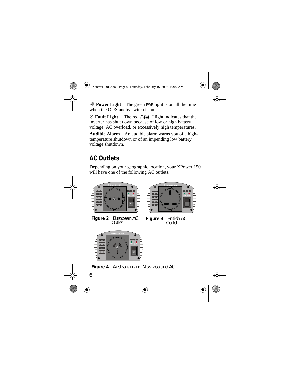Æ **Power Light** The green PWR light is on all the time when the On/Standby switch is on.

 $\emptyset$  **Fault Light** The red  $\Lambda$  FAULT light indicates that the inverter has shut down because of low or high battery voltage, AC overload, or excessively high temperatures.

**Audible Alarm** An audible alarm warns you of a hightemperature shutdown or of an impending low battery voltage shutdown.

### **AC Outlets**

Depending on your geographic location, your XPower 150 will have one of the following AC outlets.



**Figure 2** European AC



**Figure 3 British AC** Outlet



**Figure 4** Australian and New Zealand AC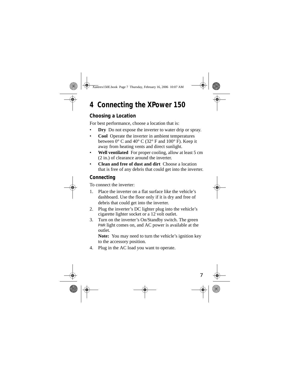# **4 Connecting the XPower 150**

#### **Choosing a Location**

For best performance, choose a location that is:

- **Dry** Do not expose the inverter to water drip or spray.
- **Cool** Operate the inverter in ambient temperatures between  $0^{\circ}$  C and  $40^{\circ}$  C (32 $^{\circ}$  F and 100 $^{\circ}$  F). Keep it away from heating vents and direct sunlight.
- Well ventilated For proper cooling, allow at least 5 cm (2 in.) of clearance around the inverter.
- **Clean and free of dust and dirt** Choose a location that is free of any debris that could get into the inverter.

#### **Connecting**

To connect the inverter:

- 1. Place the inverter on a flat surface like the vehicle's dashboard. Use the floor only if it is dry and free of debris that could get into the inverter.
- 2. Plug the inverter's DC lighter plug into the vehicle's cigarette lighter socket or a 12 volt outlet.
- 3. Turn on the inverter's On/Standby switch. The green PWR light comes on, and AC power is available at the outlet.

**Note:** You may need to turn the vehicle's ignition key to the accessory position.

4. Plug in the AC load you want to operate.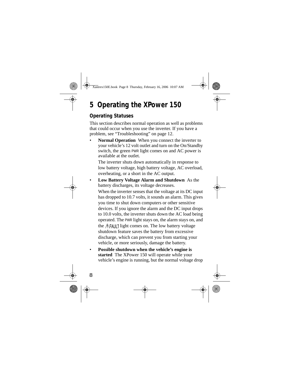# **5 Operating the XPower 150**

#### **Operating Statuses**

This section describes normal operation as well as problems that could occur when you use the inverter. If you have a problem, see "Troubleshooting" on page 12.

**Normal Operation** When you connect the inverter to your vehicle's 12 volt outlet and turn on the On/Standby switch, the green PWR light comes on and AC power is available at the outlet.

The inverter shuts down automatically in response to low battery voltage, high battery voltage, AC overload, overheating, or a short in the AC output.

• **Low Battery Voltage Alarm and Shutdown** As the battery discharges, its voltage decreases.

When the inverter senses that the voltage at its DC input has dropped to 10.7 volts, it sounds an alarm. This gives you time to shut down computers or other sensitive devices. If you ignore the alarm and the DC input drops to 10.0 volts, the inverter shuts down the AC load being operated. The PWR light stays on, the alarm stays on, and the  $\Lambda$ FAIII light comes on. The low battery voltage shutdown feature saves the battery from excessive discharge, which can prevent you from starting your vehicle, or more seriously, damage the battery.

• **Possible shutdown when the vehicle's engine is started** The XPower 150 will operate while your vehicle's engine is running, but the normal voltage drop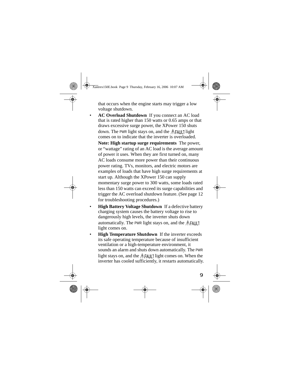that occurs when the engine starts may trigger a low voltage shutdown.

- **AC Overload Shutdown** If you connect an AC load that is rated higher than 150 watts or 0.65 amps or that draws excessive surge power, the XPower 150 shuts down. The PWR light stays on, and the  $\Lambda$ FAII light comes on to indicate that the inverter is overloaded. **Note: High startup surge requirements** The power, or "wattage" rating of an AC load is the average amount of power it uses. When they are first turned on, many AC loads consume more power than their continuous power rating. TVs, monitors, and electric motors are examples of loads that have high surge requirements at start up. Although the XPower 150 can supply momentary surge power to 300 watts, some loads rated less than 150 watts can exceed its surge capabilities and trigger the AC overload shutdown feature. (See page 12 for troubleshooting procedures.)
- **High Battery Voltage Shutdown** If a defective battery charging system causes the battery voltage to rise to dangerously high levels, the inverter shuts down automatically. The PWR light stays on, and the  $\hat{A}$ FAULT light comes on.
- **High Temperature Shutdown** If the inverter exceeds its safe operating temperature because of insufficient ventilation or a high-temperature environment, it sounds an alarm and shuts down automatically. The PWR light stays on, and the  $\Lambda$ FAULT light comes on. When the inverter has cooled sufficiently, it restarts automatically.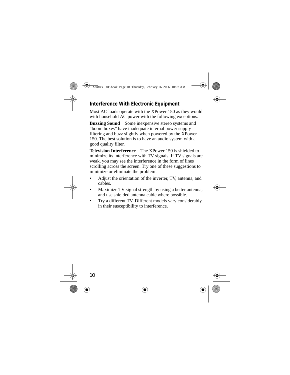#### **Interference With Electronic Equipment**

Most AC loads operate with the XPower 150 as they would with household AC power with the following exceptions.

**Buzzing Sound** Some inexpensive stereo systems and "boom boxes" have inadequate internal power supply filtering and buzz slightly when powered by the XPower 150. The best solution is to have an audio system with a good quality filter.

**Television Interference** The XPower 150 is shielded to minimize its interference with TV signals. If TV signals are weak, you may see the interference in the form of lines scrolling across the screen. Try one of these suggestions to minimize or eliminate the problem:

- Adjust the orientation of the inverter, TV, antenna, and cables.
- Maximize TV signal strength by using a better antenna, and use shielded antenna cable where possible.
- Try a different TV. Different models vary considerably in their susceptibility to interference.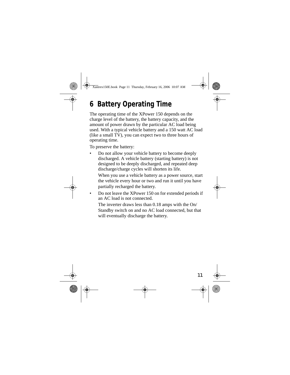# **6 Battery Operating Time**

The operating time of the XPower 150 depends on the charge level of the battery, the battery capacity, and the amount of power drawn by the particular AC load being used. With a typical vehicle battery and a 150 watt AC load (like a small TV), you can expect two to three hours of operating time.

To preserve the battery:

• Do not allow your vehicle battery to become deeply discharged. A vehicle battery (starting battery) is not designed to be deeply discharged, and repeated deep discharge/charge cycles will shorten its life.

When you use a vehicle battery as a power source, start the vehicle every hour or two and run it until you have partially recharged the battery.

• Do not leave the XPower 150 on for extended periods if an AC load is not connected.

The inverter draws less than 0.18 amps with the On/ Standby switch on and no AC load connected, but that will eventually discharge the battery.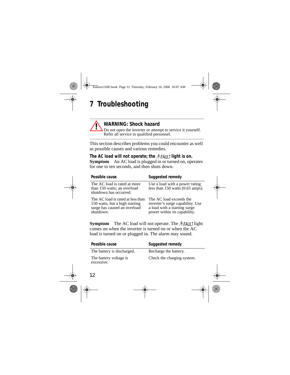# **7 Troubleshooting**

#### **WARNING: Shock hazard**

Do not open the inverter or attempt to service it yourself. Refer all service to qualified personnel.

This section describes problems you could encounter as well as possible causes and various remedies.

The AC load will not operate; the  $\Lambda$ FAULT light is on. **Symptom** An AC load is plugged in or turned on, operates for one to ten seconds, and then shuts down.

| Possible cause                                                                                                   | Suggested remedy                                                                                                            |
|------------------------------------------------------------------------------------------------------------------|-----------------------------------------------------------------------------------------------------------------------------|
| The AC load is rated at more<br>than 150 watts; an overload<br>shutdown has occurred.                            | Use a load with a power rating<br>less than $150$ watts $(0.65 \text{ amps})$ .                                             |
| The AC load is rated at less than<br>150 watts, but a high starting<br>surge has caused an overload<br>shutdown. | The AC load exceeds the<br>inverter's surge capability. Use<br>a load with a starting surge<br>power within its capability. |

**Symptom** The AC load will not operate. The  $\Lambda$ FAULT light comes on when the inverter is turned on or when the AC load is turned on or plugged in. The alarm may sound.

| Possible cause                       | Suggested remedy           |
|--------------------------------------|----------------------------|
| The battery is discharged.           | Recharge the battery.      |
| The battery voltage is<br>excessive. | Check the charging system. |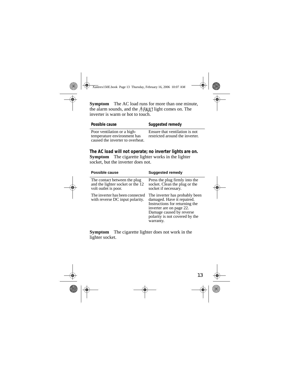**Symptom** The AC load runs for more than one minute, the alarm sounds, and the  $\Lambda$ FAULT light comes on. The inverter is warm or hot to touch.

| Possible cause                                                                                 | Suggested remedy                                                  |
|------------------------------------------------------------------------------------------------|-------------------------------------------------------------------|
| Poor ventilation or a high-<br>temperature environment has<br>caused the inverter to overheat. | Ensure that ventilation is not<br>restricted around the inverter. |

**The AC load will not operate; no inverter lights are on. Symptom** The cigarette lighter works in the lighter socket, but the inverter does not.

| Possible cause                                                                           | <b>Suggested remedy</b>                                                                                                                                                                               |
|------------------------------------------------------------------------------------------|-------------------------------------------------------------------------------------------------------------------------------------------------------------------------------------------------------|
| The contact between the plug<br>and the lighter socket or the 12<br>volt outlet is poor. | Press the plug firmly into the<br>socket. Clean the plug or the<br>socket if necessary.                                                                                                               |
| The inverter has been connected<br>with reverse DC input polarity.                       | The inverter has probably been<br>damaged. Have it repaired.<br>Instructions for returning the<br>inverter are on page 22.<br>Damage caused by reverse<br>polarity is not covered by the<br>warranty. |

**Symptom** The cigarette lighter does not work in the lighter socket.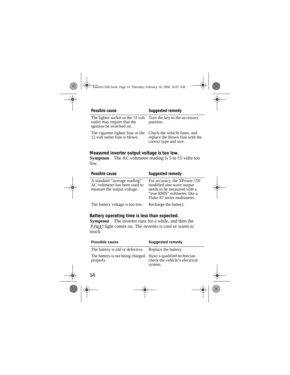| Possible cause                                                                               | Suggested remedy                                                                          |
|----------------------------------------------------------------------------------------------|-------------------------------------------------------------------------------------------|
| The lighter socket or the 12 volt<br>outlet may require that the<br>ignition be switched on. | Turn the key to the accessory<br>position.                                                |
| The cigarette lighter fuse or the<br>12 volt outlet fuse is blown.                           | Check the vehicle fuses, and<br>replace the blown fuse with the<br>correct type and size. |

#### **Measured inverter output voltage is too low.**

**Symptom** The AC voltmeter reading is 5 to 15 volts too low.

| Possible cause                                                                               | Suggested remedy                                                                                                                                        |
|----------------------------------------------------------------------------------------------|---------------------------------------------------------------------------------------------------------------------------------------------------------|
| A standard "average reading"<br>AC voltmeter has been used to<br>measure the output voltage. | For accuracy, the XPower 150<br>modified sine wave output<br>needs to be measured with a<br>"true RMS" voltmeter, like a<br>Fluke 87 series multimeter. |
| The battery voltage is too low.                                                              | Recharge the battery.                                                                                                                                   |

#### **Battery operating time is less than expected.**

**Symptom** The inverter runs for a while, and then the  $\Lambda$ FAULT light comes on. The inverter is cool or warm to touch.

| Possible cause                                                            | Suggested remedy                          |
|---------------------------------------------------------------------------|-------------------------------------------|
| The battery is old or defective. Replace the battery.                     |                                           |
| The battery is not being charged Have a qualified technician<br>properly. | check the vehicle's electrical<br>system. |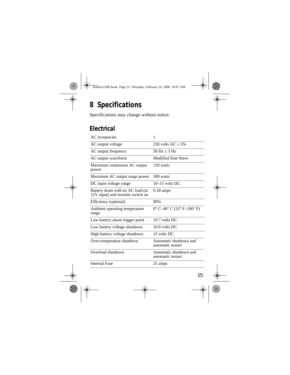# **8 Specifications**

Specifications may change without notice.

### **Electrical**

| AC receptacles                                                         | 1                                           |
|------------------------------------------------------------------------|---------------------------------------------|
| AC output voltage                                                      | 230 volts $AC + 5\%$                        |
| AC output frequency                                                    | $50 \text{ Hz} + 3 \text{ Hz}$              |
| AC output waveform                                                     | Modified Sine Wave                          |
| Maximum continuous AC output<br>power                                  | 150 watts                                   |
| Maximum AC output surge power                                          | 300 watts                                   |
| DC input voltage range                                                 | $10-15$ volts DC                            |
| Battery drain with no AC load (at<br>12V input) and inverter switch on | $0.18 \text{ amps}$                         |
| Efficiency (optimal)                                                   | 90%                                         |
| Ambient operating temperature<br>range                                 | $0^{\circ}$ C-40° C (32° F-100° F)          |
| Low battery alarm trigger point                                        | $10.7$ volts DC                             |
| Low battery voltage shutdown                                           | $10.0$ volts DC                             |
| High battery voltage shutdown                                          | 15 volts DC                                 |
| Over-temperature shutdown                                              | Automatic shutdown and<br>automatic restart |
| Overload shutdown                                                      | Automatic shutdown and<br>automatic restart |
| <b>Internal Fuse</b>                                                   | 25 amps                                     |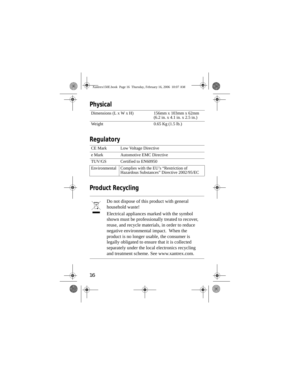### **Physical**

| Dimensions $(L x W x H)$ | $156$ mm x $103$ mm x $62$ mm<br>$(6.2 \text{ in. x } 4.1 \text{ in. x } 2.5 \text{ in.})$ |
|--------------------------|--------------------------------------------------------------------------------------------|
|                          |                                                                                            |
| <b>TTT</b> .             | $0 \leq r \leq 11$ $(1 \leq 11)$                                                           |

Weight  $0.65 \text{ Kg } (1.5 \text{ lb.})$ 

### **Regulatory**

| <b>CE Mark</b> | Low Voltage Directive                                                                                |
|----------------|------------------------------------------------------------------------------------------------------|
| e Mark         | Automotive EMC Directive                                                                             |
| TUV/GS         | Certified to EN60950                                                                                 |
|                | Environmental   Complies with the EU's "Restriction of<br>Hazardous Substances" Directive 2002/95/EC |

### **Product Recycling**



Do not dispose of this product with general household waste!

Electrical appliances marked with the symbol shown must be professionally treated to recover, reuse, and recycle materials, in order to reduce negative environmental impact. When the product is no longer usable, the consumer is legally obligated to ensure that it is collected separately under the local electronics recycling and treatment scheme. See www.xantrex.com.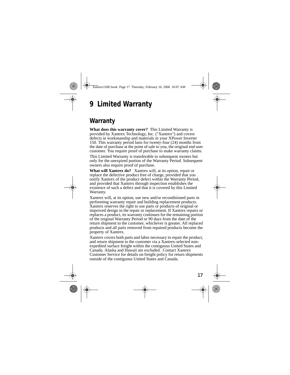# **9 Limited Warranty**

### **Warranty**

**What does this warranty cover?** This Limited Warranty is provided by Xantrex Technology, Inc. ("Xantrex") and covers defects in workmanship and materials in your XPower Inverter 150. This warranty period lasts for twenty-four (24) months from the date of purchase at the point of sale to you, the original end user customer. You require proof of purchase to make warranty claims.

This Limited Warranty is transferable to subsequent owners but only for the unexpired portion of the Warranty Period. Subsequent owners also require proof of purchase.

**What will Xantrex do?** Xantrex will, at its option, repair or replace the defective product free of charge, provided that you notify Xantrex of the product defect within the Warranty Period, and provided that Xantrex through inspection establishes the existence of such a defect and that it is covered by this Limited Warranty.

Xantrex will, at its option, use new and/or reconditioned parts in performing warranty repair and building replacement products. Xantrex reserves the right to use parts or products of original or improved design in the repair or replacement. If Xantrex repairs or replaces a product, its warranty continues for the remaining portion of the original Warranty Period or 90 days from the date of the return shipment to the customer, whichever is greater. All replaced products and all parts removed from repaired products become the property of Xantrex.

Xantrex covers both parts and labor necessary to repair the product, and return shipment to the customer via a Xantrex-selected nonexpedited surface freight within the contiguous United States and Canada. Alaska and Hawaii are excluded. Contact Xantrex Customer Service for details on freight policy for return shipments outside of the contiguous United States and Canada.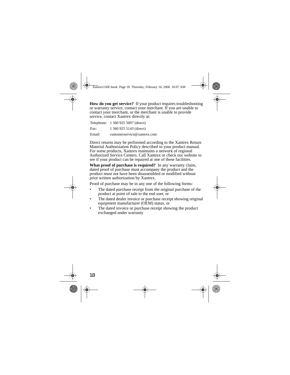**How do you get service?** If your product requires troubleshooting or warranty service, contact your merchant. If you are unable to contact your merchant, or the merchant is unable to provide service, contact Xantrex directly at:

|        | Telephone: 1 360 925 5097 (direct) |
|--------|------------------------------------|
| Fax:   | 1 360 925 5143 (direct)            |
| Email: | customerservice@xantrex.com        |

Direct returns may be performed according to the Xantrex Return Material Authorization Policy described in your product manual. For some products, Xantrex maintains a network of regional Authorized Service Centers. Call Xantrex or check our website to see if your product can be repaired at one of these facilities.

**What proof of purchase is required?** In any warranty claim, dated proof of purchase must accompany the product and the product must not have been disassembled or modified without prior written authorization by Xantrex.

Proof of purchase may be in any one of the following forms:

- The dated purchase receipt from the original purchase of the product at point of sale to the end user, or
- The dated dealer invoice or purchase receipt showing original equipment manufacturer (OEM) status, or
- The dated invoice or purchase receipt showing the product exchanged under warranty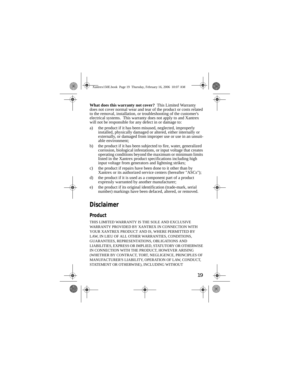**What does this warranty not cover?** This Limited Warranty does not cover normal wear and tear of the product or costs related to the removal, installation, or troubleshooting of the customer's electrical systems. This warranty does not apply to and Xantrex will not be responsible for any defect in or damage to:

- a) the product if it has been misused, neglected, improperly installed, physically damaged or altered, either internally or externally, or damaged from improper use or use in an unsuitable environment;
- b) the product if it has been subjected to fire, water, generalized corrosion, biological infestations, or input voltage that creates operating conditions beyond the maximum or minimum limits listed in the Xantrex product specifications including high input voltage from generators and lightning strikes;
- c) the product if repairs have been done to it other than by Xantrex or its authorized service centers (hereafter "ASCs");
- d) the product if it is used as a component part of a product expressly warranted by another manufacturer;
- e) the product if its original identification (trade-mark, serial number) markings have been defaced, altered, or removed.

### **Disclaimer**

#### **Product**

THIS LIMITED WARRANTY IS THE SOLE AND EXCLUSIVE WARRANTY PROVIDED BY XANTREX IN CONNECTION WITH YOUR XANTREX PRODUCT AND IS, WHERE PERMITTED BY LAW, IN LIEU OF ALL OTHER WARRANTIES, CONDITIONS, GUARANTEES, REPRESENTATIONS, OBLIGATIONS AND LIABILITIES, EXPRESS OR IMPLIED, STATUTORY OR OTHERWISE IN CONNECTION WITH THE PRODUCT, HOWEVER ARISING (WHETHER BY CONTRACT, TORT, NEGLIGENCE, PRINCIPLES OF MANUFACTURER'S LIABILITY, OPERATION OF LAW, CONDUCT, STATEMENT OR OTHERWISE), INCLUDING WITHOUT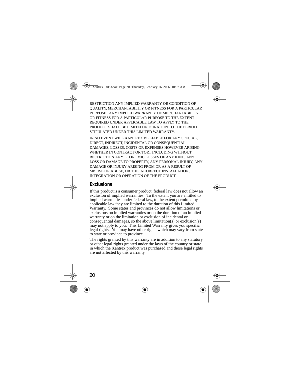RESTRICTION ANY IMPLIED WARRANTY OR CONDITION OF QUALITY, MERCHANTABILITY OR FITNESS FOR A PARTICULAR PURPOSE. ANY IMPLIED WARRANTY OF MERCHANTABILITY OR FITNESS FOR A PARTICULAR PURPOSE TO THE EXTENT REQUIRED UNDER APPLICABLE LAW TO APPLY TO THE PRODUCT SHALL BE LIMITED IN DURATION TO THE PERIOD STIPULATED UNDER THIS LIMITED WARRANTY.

IN NO EVENT WILL XANTREX BE LIABLE FOR ANY SPECIAL, DIRECT, INDIRECT, INCIDENTAL OR CONSEQUENTIAL DAMAGES, LOSSES, COSTS OR EXPENSES HOWEVER ARISING WHETHER IN CONTRACT OR TORT INCLUDING WITHOUT RESTRICTION ANY ECONOMIC LOSSES OF ANY KIND, ANY LOSS OR DAMAGE TO PROPERTY, ANY PERSONAL INJURY, ANY DAMAGE OR INJURY ARISING FROM OR AS A RESULT OF MISUSE OR ABUSE, OR THE INCORRECT INSTALLATION, INTEGRATION OR OPERATION OF THE PRODUCT.

#### **Exclusions**

If this product is a consumer product, federal law does not allow an exclusion of implied warranties. To the extent you are entitled to implied warranties under federal law, to the extent permitted by applicable law they are limited to the duration of this Limited Warranty. Some states and provinces do not allow limitations or exclusions on implied warranties or on the duration of an implied warranty or on the limitation or exclusion of incidental or consequential damages, so the above limitation(s) or exclusion(s) may not apply to you. This Limited Warranty gives you specific legal rights. You may have other rights which may vary from state to state or province to province.

The rights granted by this warranty are in addition to any statutory or other legal rights granted under the laws of the country or state in which the Xantrex product was purchased and those legal rights are not affected by this warranty.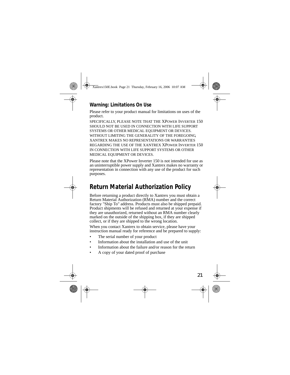#### **Warning: Limitations On Use**

Please refer to your product manual for limitations on uses of the product.

SPECIFICALLY, PLEASE NOTE THAT THE XPOWER INVERTER 150 SHOULD NOT BE USED IN CONNECTION WITH LIFE SUPPORT SYSTEMS OR OTHER MEDICAL EQUIPMENT OR DEVICES. WITHOUT LIMITING THE GENERALITY OF THE FOREGOING, XANTREX MAKES NO REPRESENTATIONS OR WARRANTIES REGARDING THE USE OF THE XANTREX XPOWER INVERTER 150 IN CONNECTION WITH LIFE SUPPORT SYSTEMS OR OTHER MEDICAL EQUIPMENT OR DEVICES.

Please note that the XPower Inverter 150 is not intended for use as an uninterruptible power supply and Xantrex makes no warranty or representation in connection with any use of the product for such purposes.

### **Return Material Authorization Policy**

Before returning a product directly to Xantrex you must obtain a Return Material Authorization (RMA) number and the correct factory "Ship To" address. Products must also be shipped prepaid. Product shipments will be refused and returned at your expense if they are unauthorized, returned without an RMA number clearly marked on the outside of the shipping box, if they are shipped collect, or if they are shipped to the wrong location.

When you contact Xantrex to obtain service, please have your instruction manual ready for reference and be prepared to supply:

- The serial number of your product
- Information about the installation and use of the unit
- Information about the failure and/or reason for the return
- A copy of your dated proof of purchase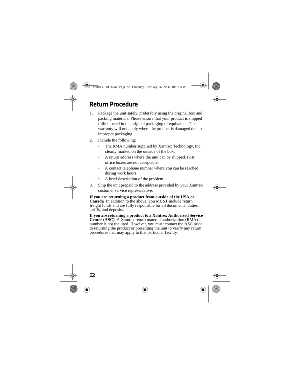### **Return Procedure**

- 1. Package the unit safely, preferably using the original box and packing materials. Please ensure that your product is shipped fully insured in the original packaging or equivalent. This warranty will not apply where the product is damaged due to improper packaging.
- 2. Include the following:
	- The RMA number supplied by Xantrex Technology, Inc. clearly marked on the outside of the box.
	- A return address where the unit can be shipped. Post office boxes are not acceptable.
	- A contact telephone number where you can be reached during work hours.
	- A brief description of the problem.
- 3. Ship the unit prepaid to the address provided by your Xantrex customer service representative.

**If you are returning a product from outside of the USA or Canada** In addition to the above, you MUST include return freight funds and are fully responsible for all documents, duties, tariffs, and deposits.

**If you are returning a product to a Xantrex Authorized Service Center (ASC)** A Xantrex return material authorization (RMA) number is not required. However, you must contact the ASC prior to returning the product or presenting the unit to verify any return procedures that may apply to that particular facility.